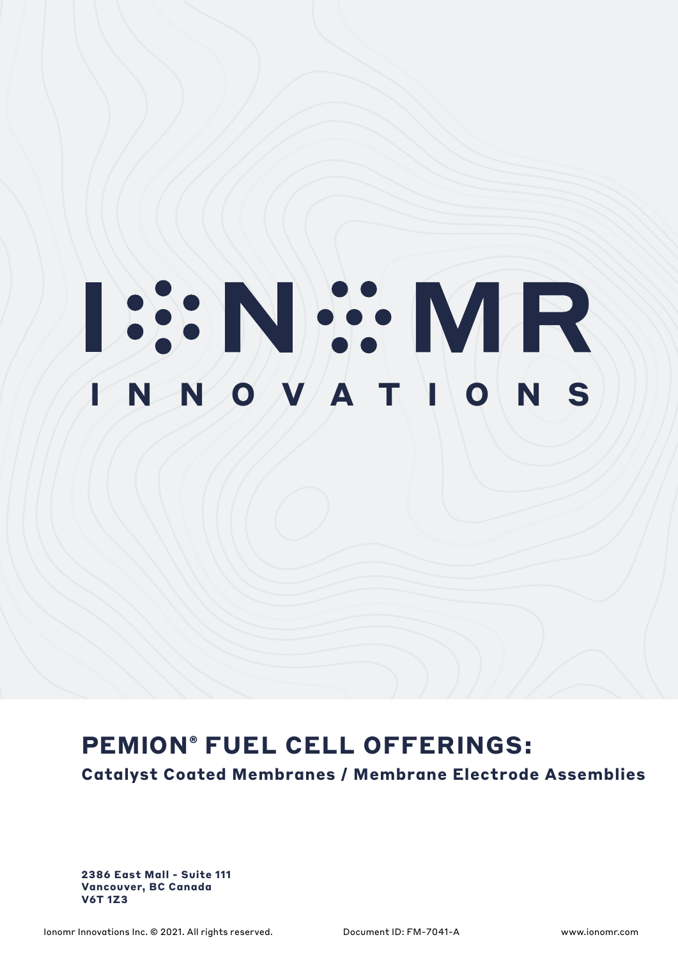# **ISSNEY NR**

## **PEMION® FUEL CELL OFFERINGS:**

**Catalyst Coated Membranes / Membrane Electrode Assemblies**

**2386 East Mall - Suite 111 Vancouver, BC Canada V6T 1Z3**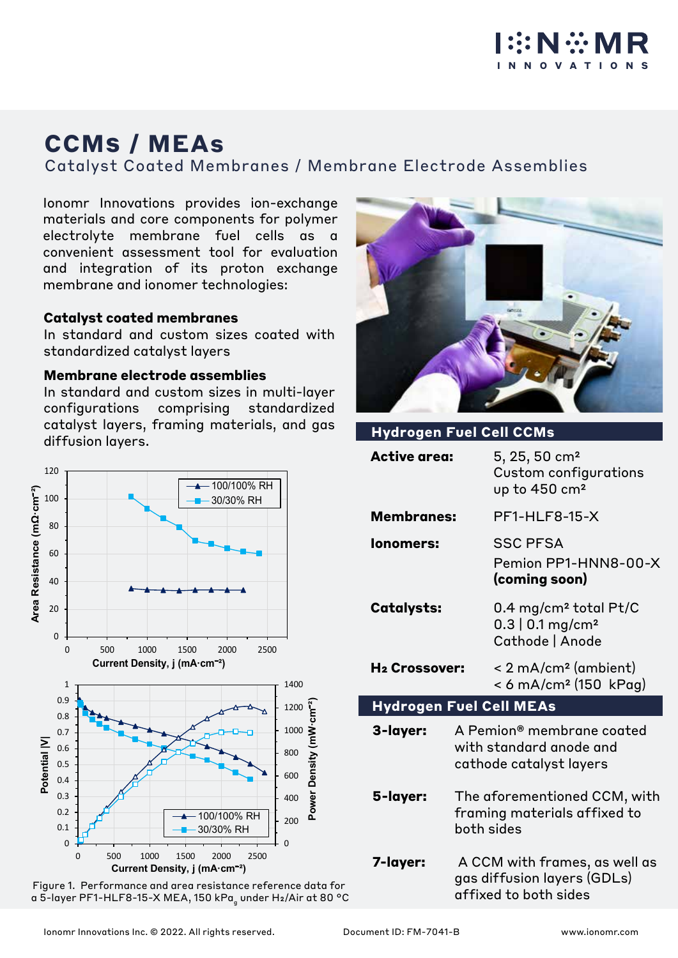

# **CCMS / MEAs**

Catalyst Coated Membranes / Membrane Electrode Assemblies

Ionomr Innovations provides ion-exchange materials and core components for polymer electrolyte membrane fuel cells as a convenient assessment tool for evaluation and integration of its proton exchange membrane and ionomer technologies:

### **Catalyst coated membranes**

In standard and custom sizes coated with standardized catalyst layers

### **Membrane electrode assemblies**

In standard and custom sizes in multi-layer configurations comprising standardized catalyst layers, framing materials, and gas **Hydrogen Fuel Cell CCMs**<br>diffusion layers.



Figure 1. Performance and area resistance reference data for a 5-layer PF1-HLF8-15-X MEA, 150 kPa<sub>g</sub> under H2/Air at 80 °C



| <b>Hydrogen Fuel Cell CCMs</b> |                                                                                       |                                                                                        |  |  |  |
|--------------------------------|---------------------------------------------------------------------------------------|----------------------------------------------------------------------------------------|--|--|--|
| <b>Active area:</b>            |                                                                                       | 5, 25, 50 cm <sup>2</sup><br>Custom configurations<br>up to 450 cm <sup>2</sup>        |  |  |  |
| <b>Membranes:</b>              |                                                                                       | <b>PF1-HLF8-15-X</b>                                                                   |  |  |  |
| lonomers:                      |                                                                                       | <b>SSC PFSA</b><br>Pemion PP1-HNN8-00-X<br>(coming soon)                               |  |  |  |
| <b>Catalysts:</b>              |                                                                                       | 0.4 mg/cm <sup>2</sup> total Pt/C<br>$0.3$   0.1 mg/cm <sup>2</sup><br>Cathode   Anode |  |  |  |
| H <sub>2</sub> Crossover:      |                                                                                       | < 2 mA/cm <sup>2</sup> (ambient)<br>< 6 mA/cm <sup>2</sup> (150 kPag)                  |  |  |  |
| <b>Hydrogen Fuel Cell MEAs</b> |                                                                                       |                                                                                        |  |  |  |
| 3-layer:                       |                                                                                       | A Pemion® membrane coated<br>with standard anode and<br>cathode catalyst layers        |  |  |  |
| 5-layer:                       | The aforementioned CCM, with<br>framing materials affixed to<br>both sides            |                                                                                        |  |  |  |
| 7-layer:                       | A CCM with frames, as well as<br>gas diffusion layers (GDLs)<br>affixed to both sides |                                                                                        |  |  |  |